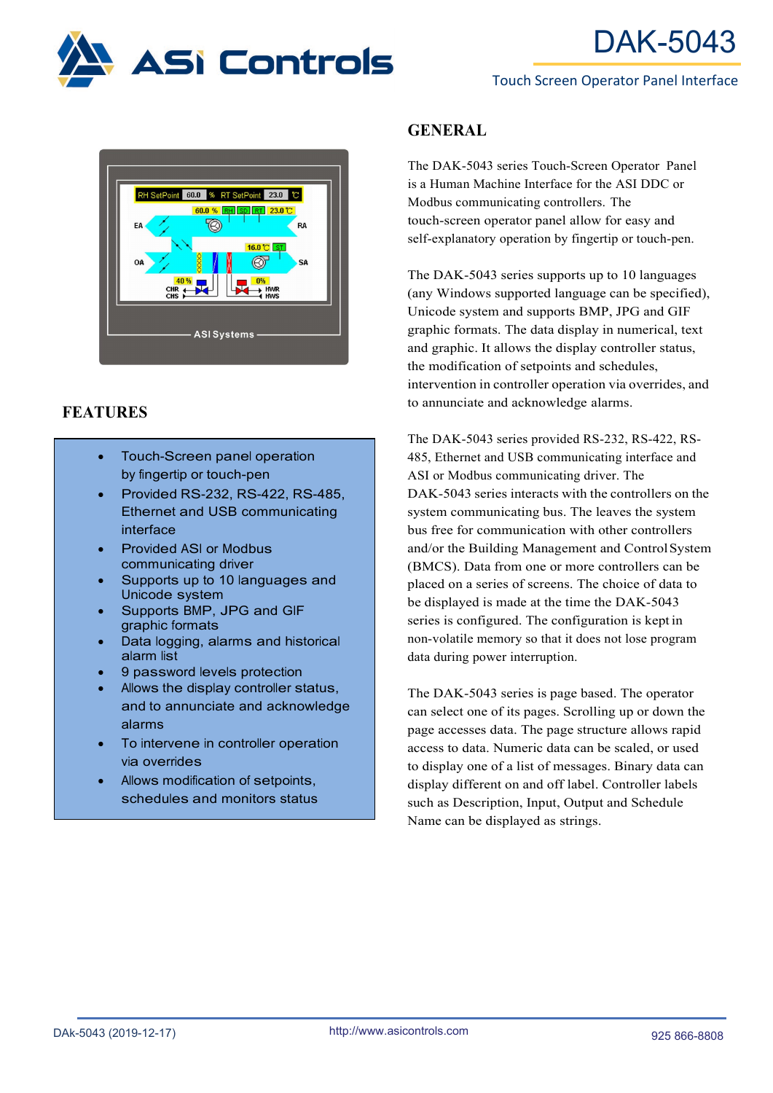

### Touch Screen Operator Panel Interface



# **FEATURES**

- Touch-Screen panel operation by fingertip or touch-pen
- Provided RS-232, RS-422, RS-485, Ethernet and USB communicating interface
- Provided ASI or Modbus communicating driver
- Supports up to 10 languages and Unicode system
- Supports BMP, JPG and GIF graphic formats
- Data logging, alarms and historical alarm list
- 9 password levels protection
- Allows the display controller status, and to annunciate and acknowledge alarms
- To intervene in controller operation via overrides
- Allows modification of setpoints, schedules and monitors status

# **GENERAL**

The DAK-5043 series Touch-Screen Operator Panel is a Human Machine Interface for the ASI DDC or Modbus communicating controllers. The touch-screen operator panel allow for easy and self-explanatory operation by fingertip or touch-pen.

The DAK-5043 series supports up to 10 languages (any Windows supported language can be specified), Unicode system and supports BMP, JPG and GIF graphic formats. The data display in numerical, text and graphic. It allows the display controller status, the modification of setpoints and schedules, intervention in controller operation via overrides, and to annunciate and acknowledge alarms.

The DAK-5043 series provided RS-232, RS-422, RS-485, Ethernet and USB communicating interface and ASI or Modbus communicating driver. The DAK-5043 series interacts with the controllers on the system communicating bus. The leaves the system bus free for communication with other controllers and/or the Building Management and ControlSystem (BMCS). Data from one or more controllers can be placed on a series of screens. The choice of data to be displayed is made at the time the DAK-5043 series is configured. The configuration is kept in non-volatile memory so that it does not lose program data during power interruption.

The DAK-5043 series is page based. The operator can select one of its pages. Scrolling up or down the page accesses data. The page structure allows rapid access to data. Numeric data can be scaled, or used to display one of a list of messages. Binary data can display different on and off label. Controller labels such as Description, Input, Output and Schedule Name can be displayed as strings.